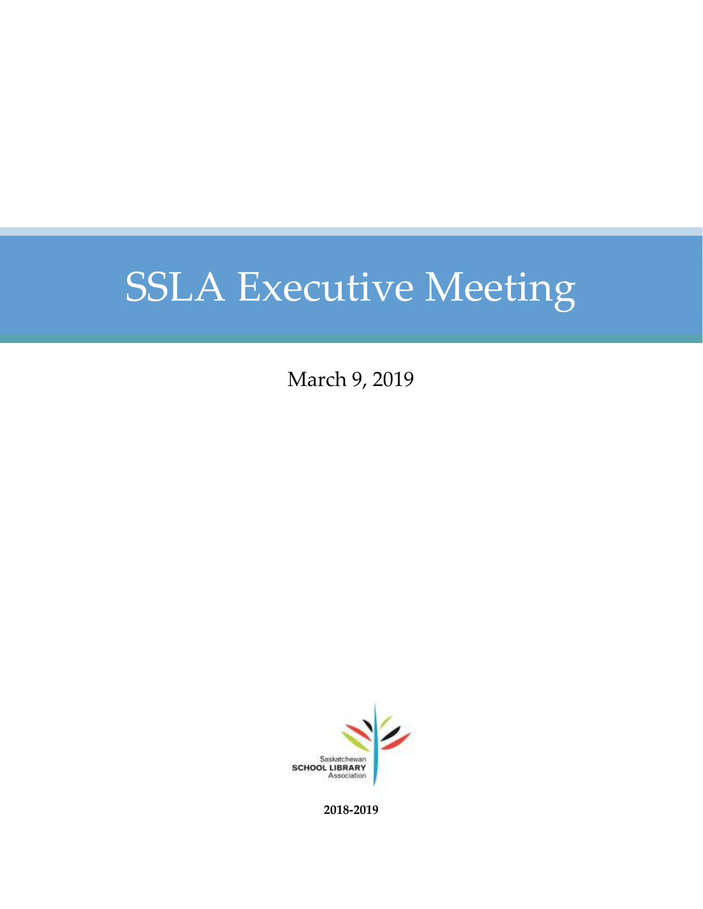March 9, 2019



**2018-2019**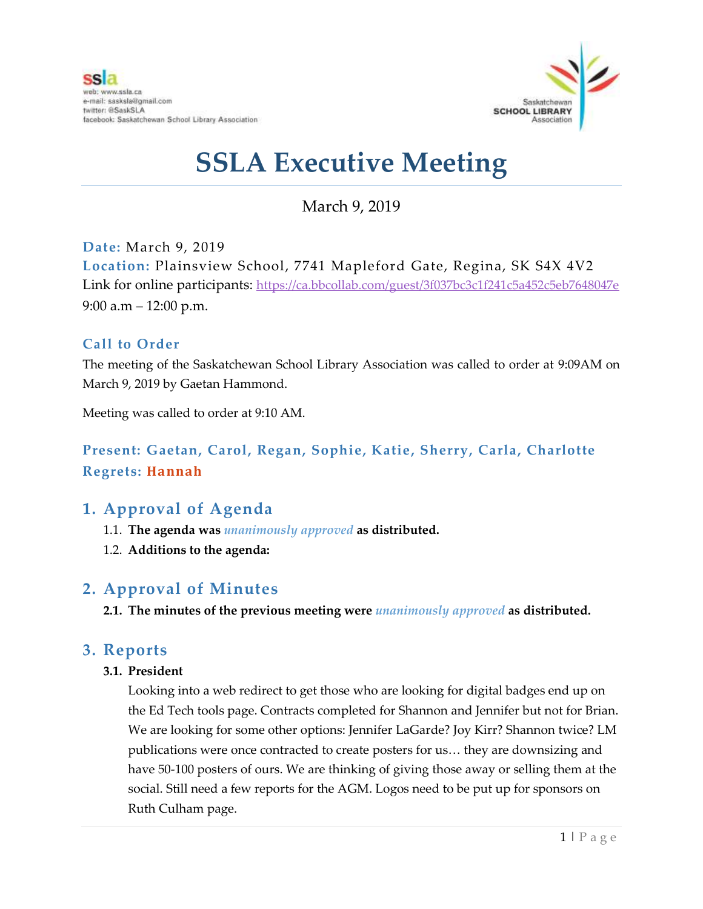

### March 9, 2019

**Date:** March 9, 2019 **Location:** Plainsview School, 7741 Mapleford Gate, Regina, SK S4X 4V2 Link for online participants: <https://ca.bbcollab.com/guest/3f037bc3c1f241c5a452c5eb7648047e> 9:00 a.m – 12:00 p.m.

### **Call to Order**

The meeting of the Saskatchewan School Library Association was called to order at 9:09AM on March 9, 2019 by Gaetan Hammond.

Meeting was called to order at 9:10 AM.

### **Present: Gaetan, Carol, Regan, Sophie, Katie, Sherry, Carla, Charlotte Regrets: Hannah**

### **1. Approval of Agenda**

- 1.1. **The agenda was** *unanimously approved* **as distributed.**
- 1.2. **Additions to the agenda:**

### **2. Approval of Minutes**

**2.1. The minutes of the previous meeting were** *unanimously approved* **as distributed.**

### **3. Reports**

#### **3.1. President**

Looking into a web redirect to get those who are looking for digital badges end up on the Ed Tech tools page. Contracts completed for Shannon and Jennifer but not for Brian. We are looking for some other options: Jennifer LaGarde? Joy Kirr? Shannon twice? LM publications were once contracted to create posters for us… they are downsizing and have 50-100 posters of ours. We are thinking of giving those away or selling them at the social. Still need a few reports for the AGM. Logos need to be put up for sponsors on Ruth Culham page.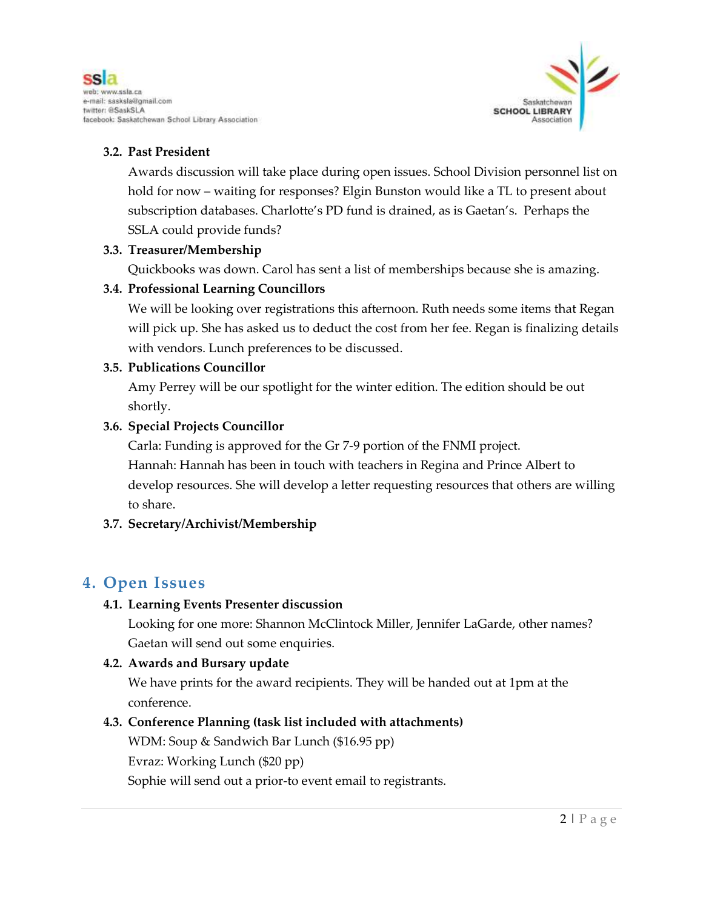

### **3.2. Past President**

Awards discussion will take place during open issues. School Division personnel list on hold for now – waiting for responses? Elgin Bunston would like a TL to present about subscription databases. Charlotte's PD fund is drained, as is Gaetan's. Perhaps the SSLA could provide funds?

#### **3.3. Treasurer/Membership**

Quickbooks was down. Carol has sent a list of memberships because she is amazing.

#### **3.4. Professional Learning Councillors**

We will be looking over registrations this afternoon. Ruth needs some items that Regan will pick up. She has asked us to deduct the cost from her fee. Regan is finalizing details with vendors. Lunch preferences to be discussed.

#### **3.5. Publications Councillor**

Amy Perrey will be our spotlight for the winter edition. The edition should be out shortly.

#### **3.6. Special Projects Councillor**

Carla: Funding is approved for the Gr 7-9 portion of the FNMI project. Hannah: Hannah has been in touch with teachers in Regina and Prince Albert to develop resources. She will develop a letter requesting resources that others are willing to share.

### **3.7. Secretary/Archivist/Membership**

### **4. Open Issues**

#### **4.1. Learning Events Presenter discussion**

Looking for one more: Shannon McClintock Miller, Jennifer LaGarde, other names? Gaetan will send out some enquiries.

#### **4.2. Awards and Bursary update**

We have prints for the award recipients. They will be handed out at 1pm at the conference.

### **4.3. Conference Planning (task list included with attachments)**

WDM: Soup & Sandwich Bar Lunch (\$16.95 pp) Evraz: Working Lunch (\$20 pp) Sophie will send out a prior-to event email to registrants.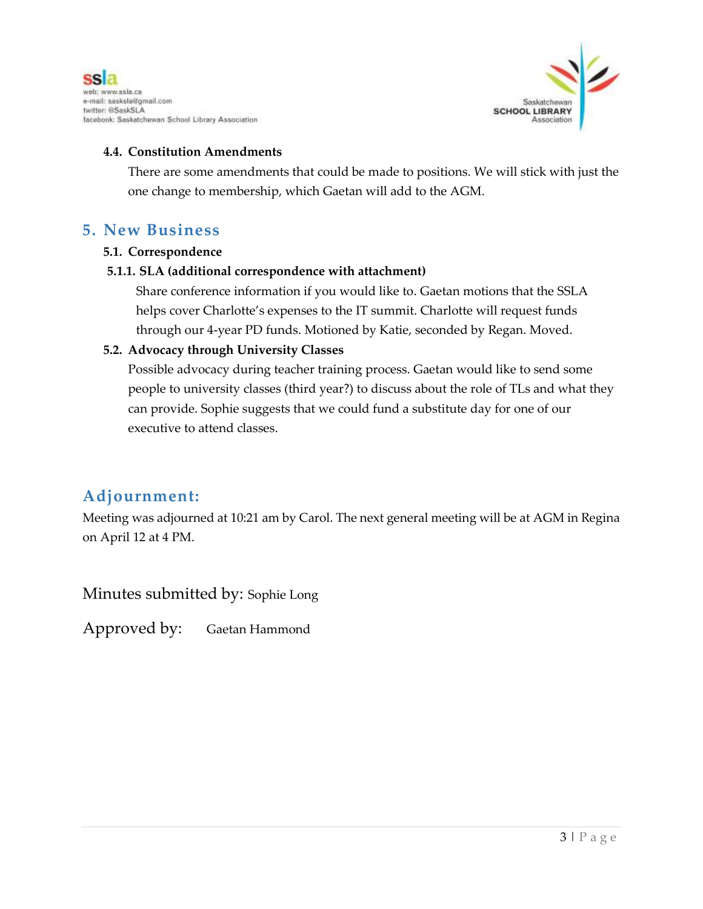



#### **4.4. Constitution Amendments**

There are some amendments that could be made to positions. We will stick with just the one change to membership, which Gaetan will add to the AGM.

### **5. New Business**

#### **5.1. Correspondence**

#### **5.1.1. SLA (additional correspondence with attachment)**

Share conference information if you would like to. Gaetan motions that the SSLA helps cover Charlotte's expenses to the IT summit. Charlotte will request funds through our 4-year PD funds. Motioned by Katie, seconded by Regan. Moved.

#### **5.2. Advocacy through University Classes**

Possible advocacy during teacher training process. Gaetan would like to send some people to university classes (third year?) to discuss about the role of TLs and what they can provide. Sophie suggests that we could fund a substitute day for one of our executive to attend classes.

### **Adjournment:**

Meeting was adjourned at 10:21 am by Carol. The next general meeting will be at AGM in Regina on April 12 at 4 PM.

Minutes submitted by: Sophie Long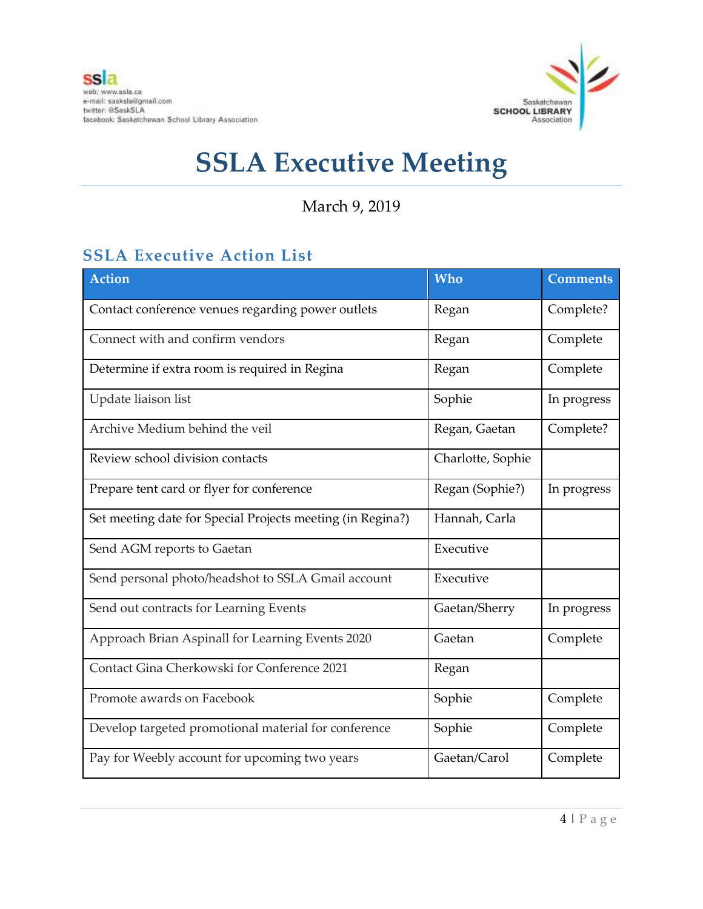

March 9, 2019

### **SSLA Executive Action List**

| <b>Action</b>                                              | Who               | <b>Comments</b> |
|------------------------------------------------------------|-------------------|-----------------|
| Contact conference venues regarding power outlets          | Regan             | Complete?       |
| Connect with and confirm vendors                           | Regan             | Complete        |
| Determine if extra room is required in Regina              | Regan             | Complete        |
| Update liaison list                                        | Sophie            | In progress     |
| Archive Medium behind the veil                             | Regan, Gaetan     | Complete?       |
| Review school division contacts                            | Charlotte, Sophie |                 |
| Prepare tent card or flyer for conference                  | Regan (Sophie?)   | In progress     |
| Set meeting date for Special Projects meeting (in Regina?) | Hannah, Carla     |                 |
| Send AGM reports to Gaetan                                 | Executive         |                 |
| Send personal photo/headshot to SSLA Gmail account         | Executive         |                 |
| Send out contracts for Learning Events                     | Gaetan/Sherry     | In progress     |
| Approach Brian Aspinall for Learning Events 2020           | Gaetan            | Complete        |
| Contact Gina Cherkowski for Conference 2021                | Regan             |                 |
| Promote awards on Facebook                                 | Sophie            | Complete        |
| Develop targeted promotional material for conference       | Sophie            | Complete        |
| Pay for Weebly account for upcoming two years              | Gaetan/Carol      | Complete        |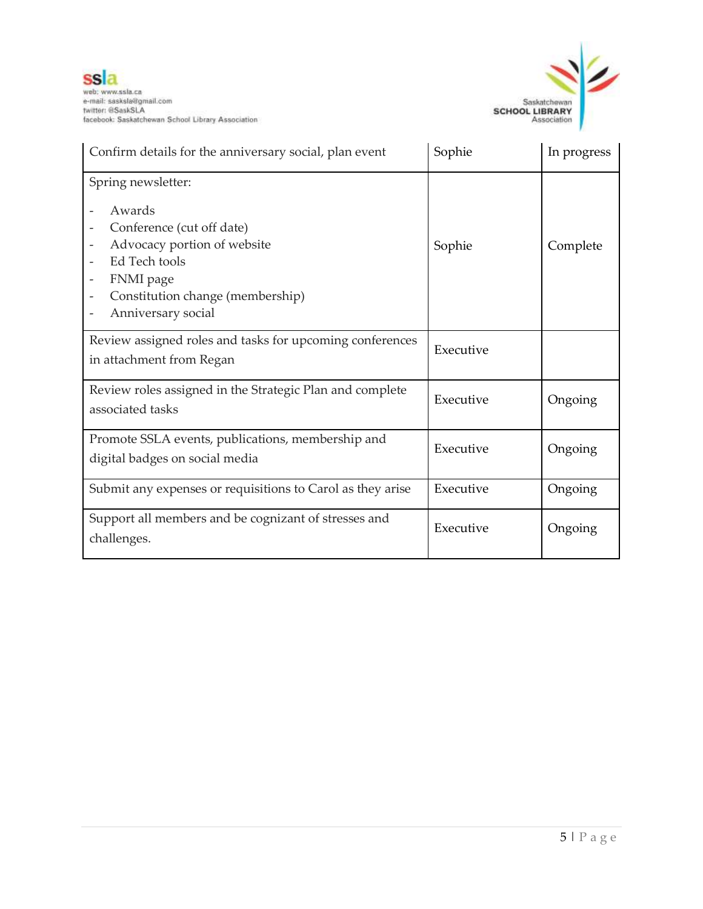

| Confirm details for the anniversary social, plan event                                                                                                                                                                                   | Sophie    | In progress |
|------------------------------------------------------------------------------------------------------------------------------------------------------------------------------------------------------------------------------------------|-----------|-------------|
| Spring newsletter:<br>Awards<br>Conference (cut off date)<br>Advocacy portion of website<br>$\overline{\phantom{a}}$<br>Ed Tech tools<br>FNMI page<br>$\overline{\phantom{a}}$<br>Constitution change (membership)<br>Anniversary social | Sophie    | Complete    |
| Review assigned roles and tasks for upcoming conferences<br>in attachment from Regan                                                                                                                                                     | Executive |             |
| Review roles assigned in the Strategic Plan and complete<br>associated tasks                                                                                                                                                             | Executive | Ongoing     |
| Promote SSLA events, publications, membership and<br>digital badges on social media                                                                                                                                                      | Executive | Ongoing     |
| Submit any expenses or requisitions to Carol as they arise                                                                                                                                                                               | Executive | Ongoing     |
| Support all members and be cognizant of stresses and<br>challenges.                                                                                                                                                                      | Executive | Ongoing     |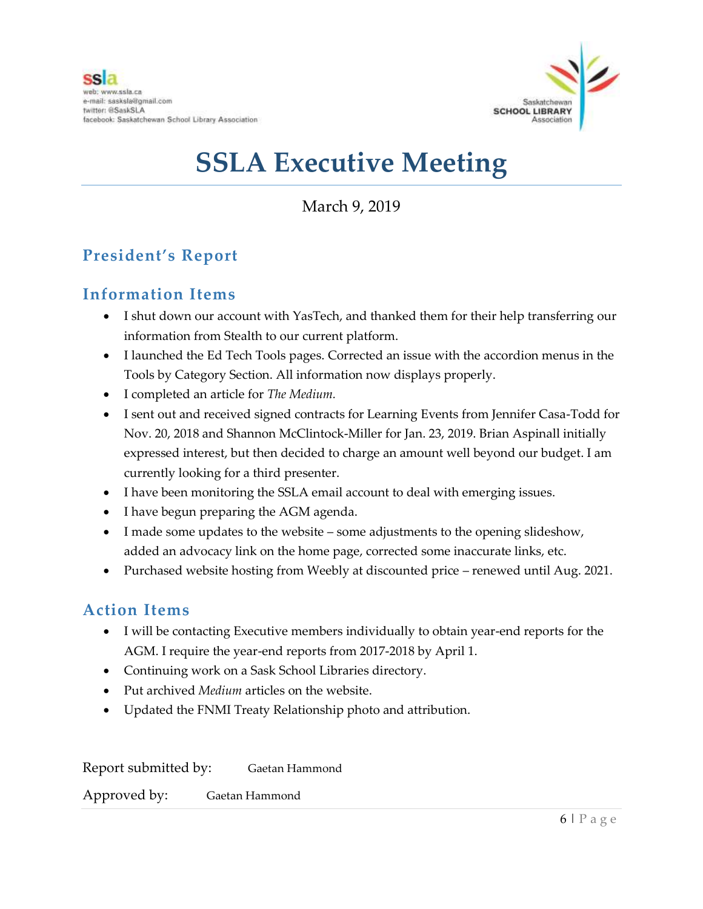

March 9, 2019

### **President's Report**

### **Information Items**

- I shut down our account with YasTech, and thanked them for their help transferring our information from Stealth to our current platform.
- I launched the Ed Tech Tools pages. Corrected an issue with the accordion menus in the Tools by Category Section. All information now displays properly.
- I completed an article for *The Medium.*
- I sent out and received signed contracts for Learning Events from Jennifer Casa-Todd for Nov. 20, 2018 and Shannon McClintock-Miller for Jan. 23, 2019. Brian Aspinall initially expressed interest, but then decided to charge an amount well beyond our budget. I am currently looking for a third presenter.
- I have been monitoring the SSLA email account to deal with emerging issues.
- I have begun preparing the AGM agenda.
- I made some updates to the website some adjustments to the opening slideshow, added an advocacy link on the home page, corrected some inaccurate links, etc.
- Purchased website hosting from Weebly at discounted price renewed until Aug. 2021.

### **Action Items**

- I will be contacting Executive members individually to obtain year-end reports for the AGM. I require the year-end reports from 2017-2018 by April 1.
- Continuing work on a Sask School Libraries directory.
- Put archived *Medium* articles on the website.
- Updated the FNMI Treaty Relationship photo and attribution.

Report submitted by: Gaetan Hammond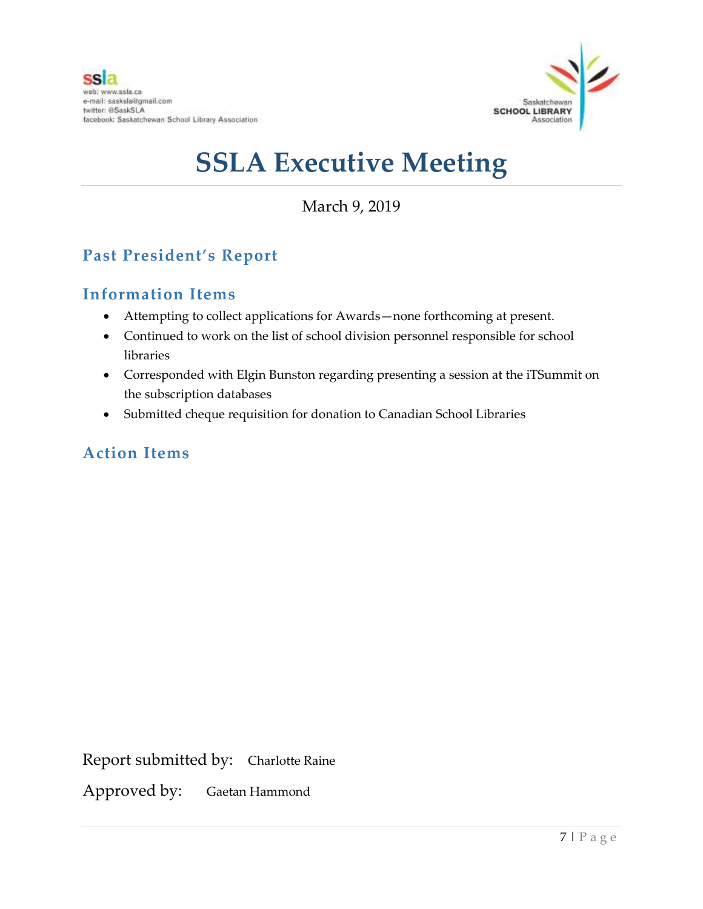

### March 9, 2019

### **Past President's Report**

### **Information Items**

- Attempting to collect applications for Awards—none forthcoming at present.
- Continued to work on the list of school division personnel responsible for school libraries
- Corresponded with Elgin Bunston regarding presenting a session at the iTSummit on the subscription databases
- Submitted cheque requisition for donation to Canadian School Libraries

### **Action Items**

Report submitted by: Charlotte Raine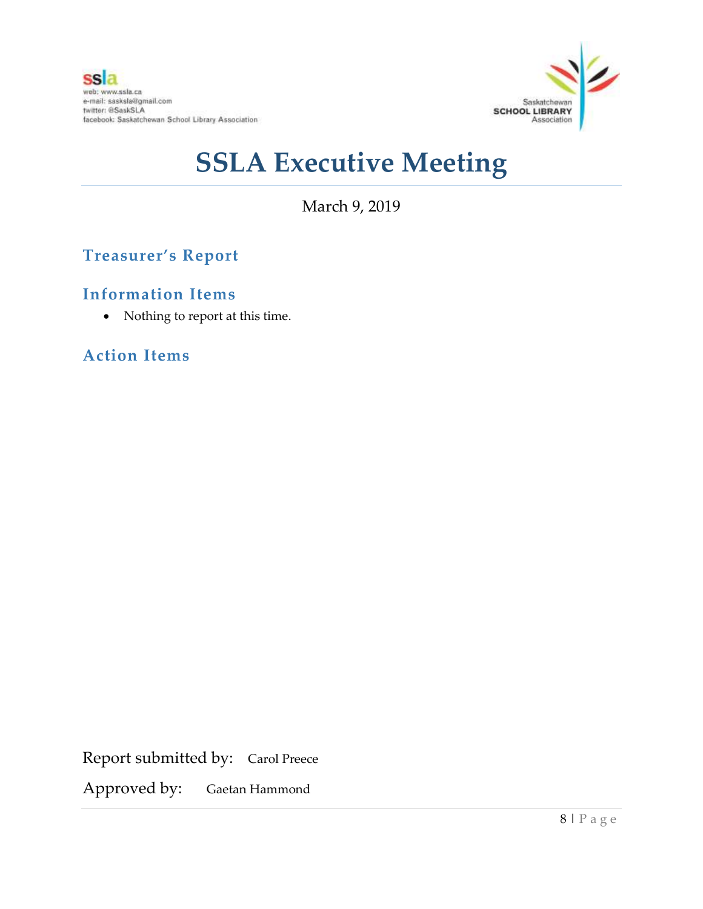

March 9, 2019

### **Treasurer's Report**

### **Information Items**

• Nothing to report at this time.

### **Action Items**

Report submitted by: Carol Preece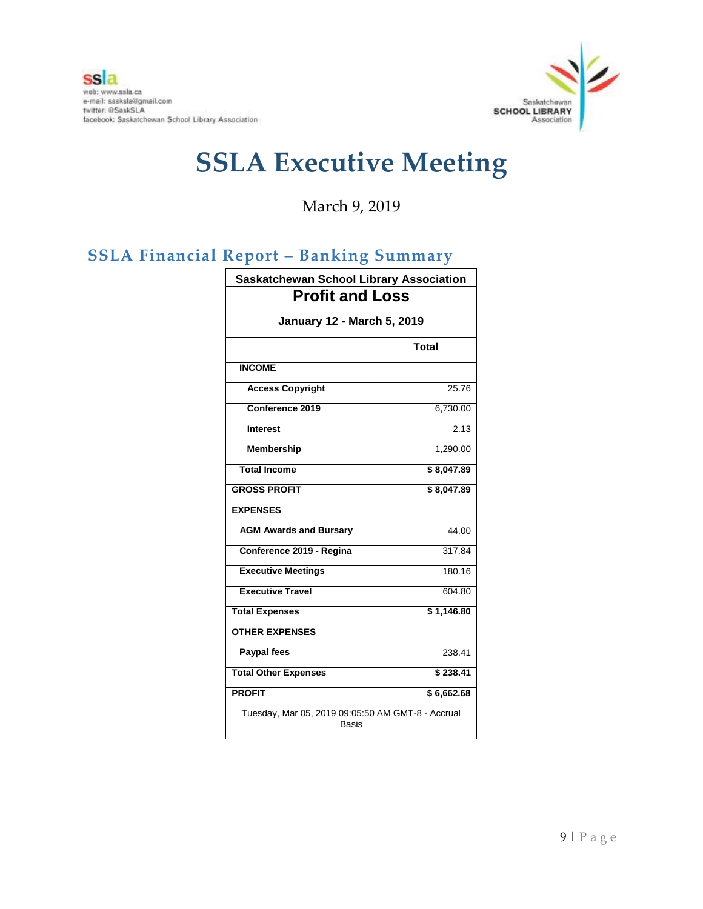

March 9, 2019

## **SSLA Financial Report – Banking Summary**

| <b>Saskatchewan School Library Association</b><br><b>Profit and Loss</b> |              |  |                                   |
|--------------------------------------------------------------------------|--------------|--|-----------------------------------|
|                                                                          |              |  | <b>January 12 - March 5, 2019</b> |
|                                                                          | <b>Total</b> |  |                                   |
| <b>INCOME</b>                                                            |              |  |                                   |
| <b>Access Copyright</b>                                                  | 25.76        |  |                                   |
| Conference 2019                                                          | 6,730.00     |  |                                   |
| <b>Interest</b>                                                          | 2.13         |  |                                   |
| <b>Membership</b>                                                        | 1,290.00     |  |                                   |
| <b>Total Income</b>                                                      | \$8,047.89   |  |                                   |
| <b>GROSS PROFIT</b>                                                      | \$8,047.89   |  |                                   |
| <b>EXPENSES</b>                                                          |              |  |                                   |
| <b>AGM Awards and Bursary</b>                                            | 44.00        |  |                                   |
| Conference 2019 - Regina                                                 | 317.84       |  |                                   |
| <b>Executive Meetings</b>                                                | 180.16       |  |                                   |
| <b>Executive Travel</b>                                                  | 604.80       |  |                                   |
| <b>Total Expenses</b>                                                    | \$1,146.80   |  |                                   |
| <b>OTHER EXPENSES</b>                                                    |              |  |                                   |
| <b>Paypal fees</b>                                                       | 238.41       |  |                                   |
| <b>Total Other Expenses</b>                                              | \$238.41     |  |                                   |
| <b>PROFIT</b>                                                            | \$6,662.68   |  |                                   |
| Tuesday, Mar 05, 2019 09:05:50 AM GMT-8 - Accrual<br>Basis               |              |  |                                   |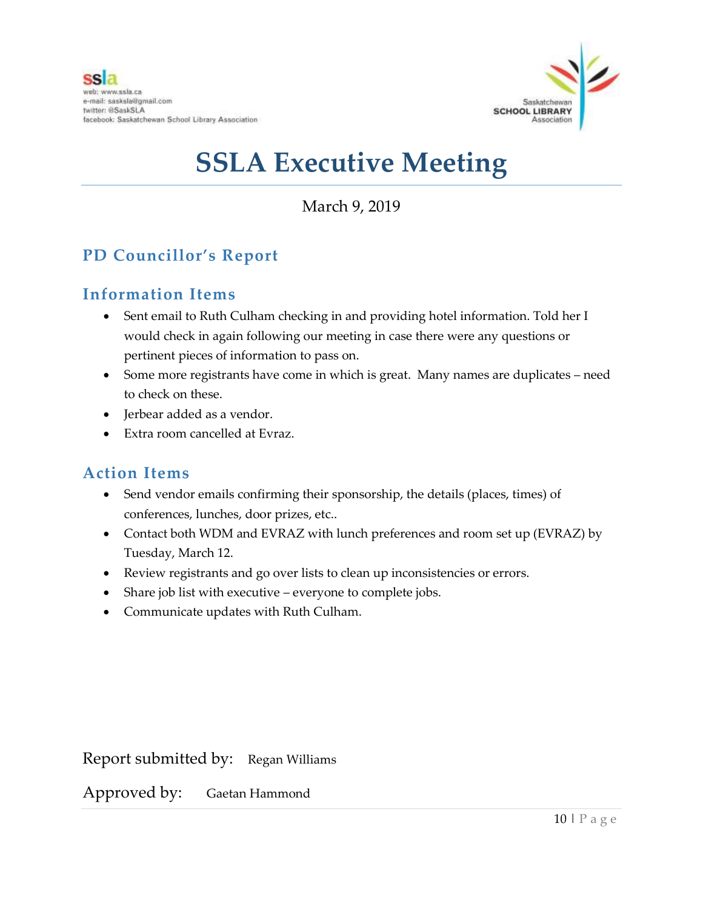

March 9, 2019

## **PD Councillor's Report**

### **Information Items**

- Sent email to Ruth Culham checking in and providing hotel information. Told her I would check in again following our meeting in case there were any questions or pertinent pieces of information to pass on.
- Some more registrants have come in which is great. Many names are duplicates need to check on these.
- Jerbear added as a vendor.
- Extra room cancelled at Evraz.

### **Action Items**

- Send vendor emails confirming their sponsorship, the details (places, times) of conferences, lunches, door prizes, etc..
- Contact both WDM and EVRAZ with lunch preferences and room set up (EVRAZ) by Tuesday, March 12.
- Review registrants and go over lists to clean up inconsistencies or errors.
- Share job list with executive everyone to complete jobs.
- Communicate updates with Ruth Culham.

Report submitted by: Regan Williams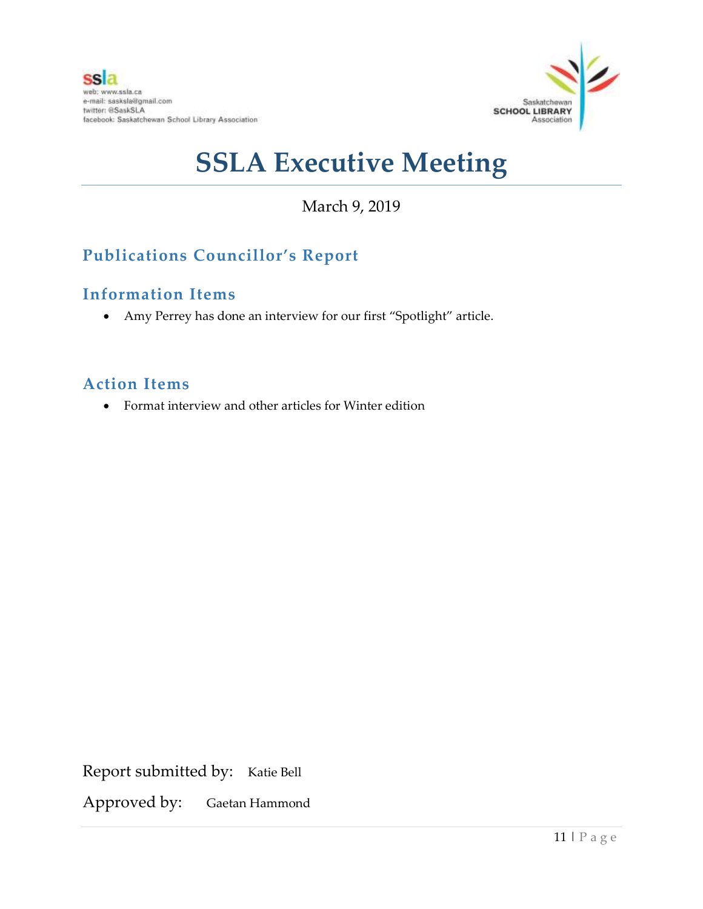

## March 9, 2019

### **Publications Councillor's Report**

### **Information Items**

Amy Perrey has done an interview for our first "Spotlight" article.

### **Action Items**

Format interview and other articles for Winter edition

Report submitted by: Katie Bell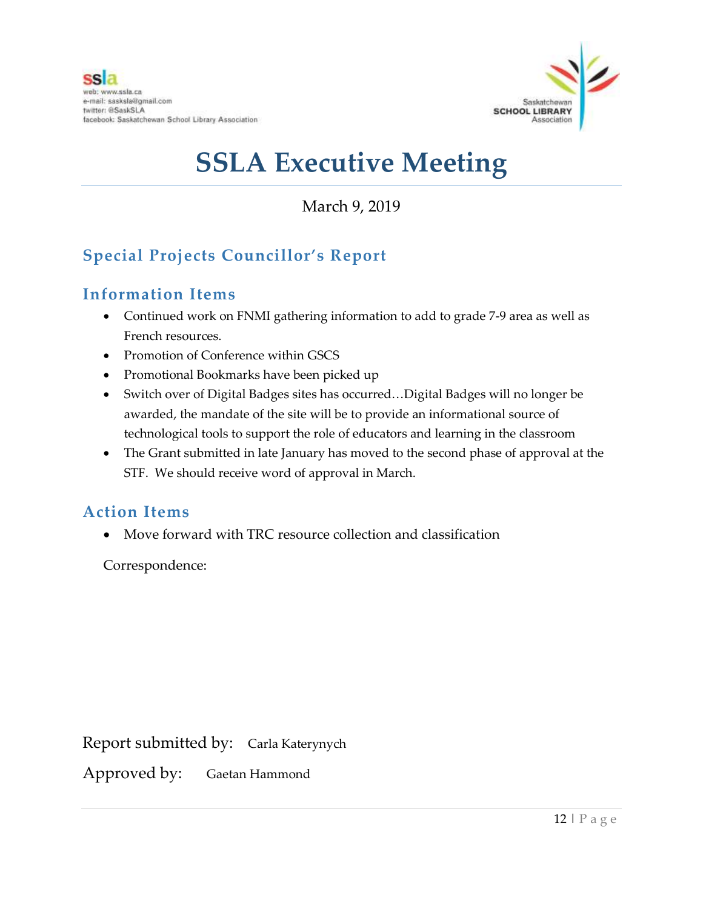

March 9, 2019

## **Special Projects Councillor's Report**

### **Information Items**

- Continued work on FNMI gathering information to add to grade 7-9 area as well as French resources.
- Promotion of Conference within GSCS
- Promotional Bookmarks have been picked up
- Switch over of Digital Badges sites has occurred…Digital Badges will no longer be awarded, the mandate of the site will be to provide an informational source of technological tools to support the role of educators and learning in the classroom
- The Grant submitted in late January has moved to the second phase of approval at the STF. We should receive word of approval in March.

### **Action Items**

Move forward with TRC resource collection and classification

Correspondence:

Report submitted by: Carla Katerynych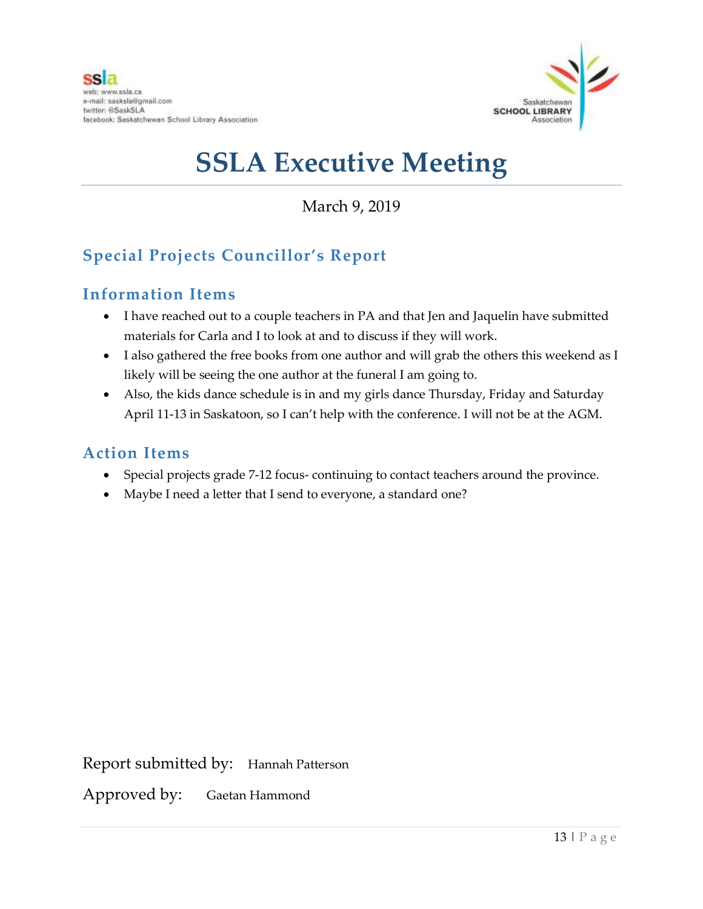

March 9, 2019

## **Special Projects Councillor's Report**

### **Information Items**

- I have reached out to a couple teachers in PA and that Jen and Jaquelin have submitted materials for Carla and I to look at and to discuss if they will work.
- I also gathered the free books from one author and will grab the others this weekend as I likely will be seeing the one author at the funeral I am going to.
- Also, the kids dance schedule is in and my girls dance Thursday, Friday and Saturday April 11-13 in Saskatoon, so I can't help with the conference. I will not be at the AGM.

### **Action Items**

- Special projects grade 7-12 focus- continuing to contact teachers around the province.
- Maybe I need a letter that I send to everyone, a standard one?

Report submitted by: Hannah Patterson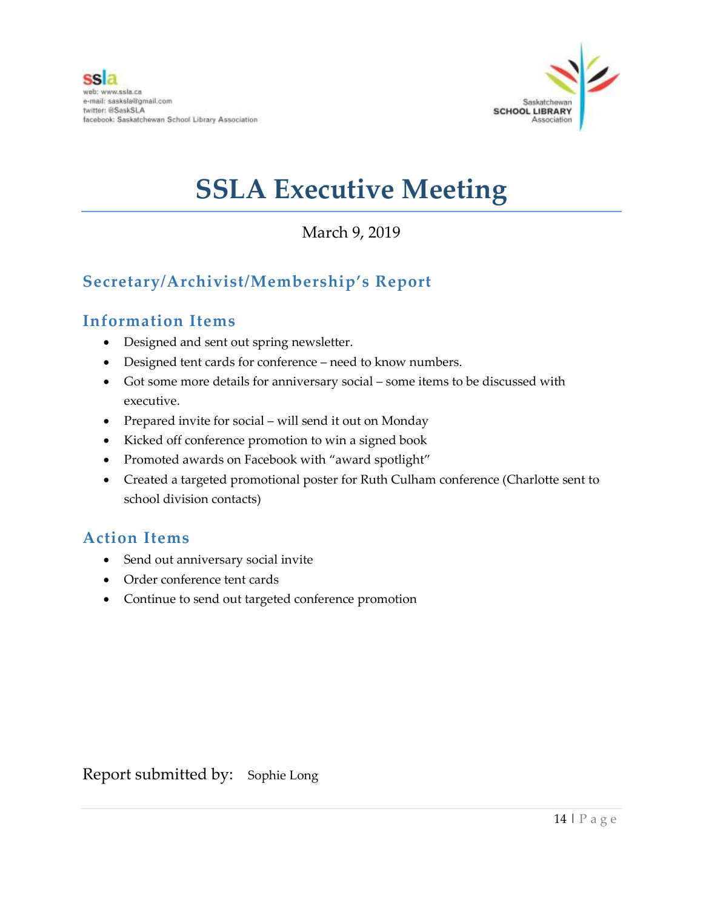

## March 9, 2019

## **Secretary/Archivist/Membership's Report**

### **Information Items**

- Designed and sent out spring newsletter.
- Designed tent cards for conference need to know numbers.
- Got some more details for anniversary social some items to be discussed with executive.
- Prepared invite for social will send it out on Monday
- Kicked off conference promotion to win a signed book
- Promoted awards on Facebook with "award spotlight"
- Created a targeted promotional poster for Ruth Culham conference (Charlotte sent to school division contacts)

### **Action Items**

- Send out anniversary social invite
- Order conference tent cards
- Continue to send out targeted conference promotion

Report submitted by: Sophie Long